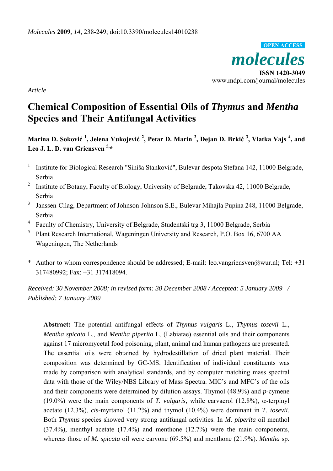*molecules*  **ISSN 1420-3049**  www.mdpi.com/journal/molecules **OPEN ACCESS**

*Article* 

# **Chemical Composition of Essential Oils of** *Thymus* **and** *Mentha*  **Species and Their Antifungal Activities**

**Marina D. Soković <sup>1</sup> , Jelena Vukojević <sup>2</sup> , Petar D. Marin <sup>2</sup> , Dejan D. Brkić <sup>3</sup> , Vlatka Vajs <sup>4</sup> , and Leo J. L. D. van Griensven 5,\***

- <sup>1</sup> Institute for Biological Research "Siniša Stanković", Bulevar despota Stefana 142, 11000 Belgrade, Serbia
- <sup>2</sup> Institute of Botany, Faculty of Biology, University of Belgrade, Takovska 42, 11000 Belgrade, Serbia
- <sup>3</sup> Janssen-Cilag, Department of Johnson-Johnson S.E., Bulevar Mihajla Pupina 248, 11000 Belgrade, Serbia
- 4 Faculty of Chemistry, University of Belgrade, Studentski trg 3, 11000 Belgrade, Serbia
- 5 Plant Research International, Wageningen University and Research, P.O. Box 16, 6700 AA Wageningen, The Netherlands
- \* Author to whom correspondence should be addressed; E-mail: leo.vangriensven@wur.nl; Tel: +31 317480992; Fax: +31 317418094.

*Received: 30 November 2008; in revised form: 30 December 2008 / Accepted: 5 January 2009 / Published: 7 January 2009* 

**Abstract:** The potential antifungal effects of *Thymus vulgaris* L., *Thymus tosevii* L., *Mentha spicata* L., and *Mentha piperita* L. (Labiatae) essential oils and their components against 17 micromycetal food poisoning, plant, animal and human pathogens are presented. The essential oils were obtained by hydrodestillation of dried plant material. Their composition was determined by GC-MS. Identification of individual constituents was made by comparison with analytical standards, and by computer matching mass spectral data with those of the Wiley/NBS Library of Mass Spectra. MIC's and MFC's of the oils and their components were determined by dilution assays. Thymol (48.9%) and *p*-cymene (19.0%) were the main components of *T. vulgaris,* while carvacrol (12.8%), α-terpinyl acetate (12.3%), *cis*-myrtanol (11.2%) and thymol (10.4%) were dominant in *T. tosevii.*  Both *Thymus* species showed very strong antifungal activities. In *M. piperita* oil menthol (37.4%), menthyl acetate (17.4%) and menthone (12.7%) were the main components, whereas those of *M. spicata* oil were carvone (69.5%) and menthone (21.9%). *Mentha* sp.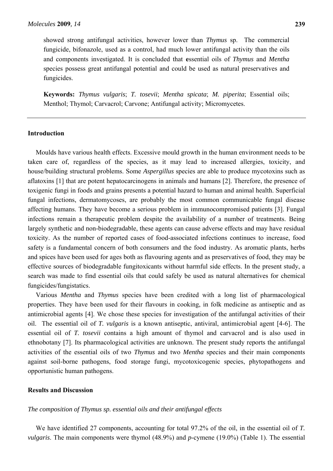showed strong antifungal activities, however lower than *Thymus* sp. The commercial fungicide, bifonazole, used as a control, had much lower antifungal activity than the oils and components investigated. It is concluded that **e**ssential oils of *Thymus* and *Mentha* species possess great antifungal potential and could be used as natural preservatives and fungicides.

**Keywords:** *Thymus vulgaris*; *T. tosevii*; *Mentha spicata*; *M. piperita*; Essential oils; Menthol; Thymol; Carvacrol; Carvone; Antifungal activity; Micromycetes.

## **Introduction**

Moulds have various health effects. Excessive mould growth in the human environment needs to be taken care of, regardless of the species, as it may lead to increased allergies, toxicity, and house/building structural problems. Some *Aspergillus* species are able to produce mycotoxins such as aflatoxins [1] that are potent hepatocarcinogens in animals and humans [2]. Therefore, the presence of toxigenic fungi in foods and grains presents a potential hazard to human and animal health. Superficial fungal infections, dermatomycoses, are probably the most common communicable fungal disease affecting humans. They have become a serious problem in immunocompromised patients [3]. Fungal infections remain a therapeutic problem despite the availability of a number of treatments. Being largely synthetic and non-biodegradable, these agents can cause adverse effects and may have residual toxicity. As the number of reported cases of food-associated infections continues to increase, food safety is a fundamental concern of both consumers and the food industry. As aromatic plants, herbs and spices have been used for ages both as flavouring agents and as preservatives of food, they may be effective sources of biodegradable fungitoxicants without harmful side effects. In the present study, a search was made to find essential oils that could safely be used as natural alternatives for chemical fungicides/fungistatics.

Various *Mentha* and *Thymus* species have been credited with a long list of pharmacological properties. They have been used for their flavours in cooking, in folk medicine as antiseptic and as antimicrobial agents [4]. We chose these species for investigation of the antifungal activities of their oil. The essential oil of *T. vulgaris* is a known antiseptic, antiviral, antimicrobial agent [4-6]. The essential oil of *T. tosevii* contains a high amount of thymol and carvacrol and is also used in ethnobotany [7]. Its pharmacological activities are unknown. The present study reports the antifungal activities of the essential oils of two *Thymus* and two *Mentha* species and their main components against soil-borne pathogens, food storage fungi, mycotoxicogenic species, phytopathogens and opportunistic human pathogens.

### **Results and Discussion**

## *The composition of Thymus sp. essential oils and their antifungal effects*

We have identified 27 components, accounting for total 97.2% of the oil, in the essential oil of *T. vulgaris*. The main components were thymol (48.9%) and *p*-cymene (19.0%) (Table 1). The essential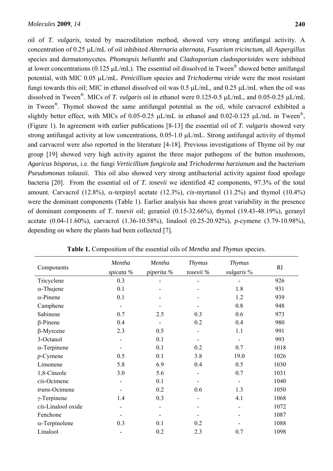oil of *T. vulgaris*, tested by macrodilution method, showed very strong antifungal activity. A concentration of 0.25 μL/mL of oil inhibited *Alternaria alternata, Fusarium tricinctum,* all *Aspergillus* species and dermatomycetes. *Phomopsis helianthi* and *Cladosporium cladosporioides* were inhibited at lower concentrations (0.125  $\mu$ L/mL). The essential oil dissolved in Tween<sup>®</sup> showed better antifungal potential, with MIC 0.05 μL/mL. *Penicillium* species and *Trichoderma viride* were the most resistant fungi towards this oil; MIC in ethanol dissolved oil was 0.5 μL/mL, and 0.25 μL/mL when the oil was dissolved in Tween®. MICs of *T. vulgaris* oil in ethanol were 0.125-0.5 μL/mL, and 0.05-0.25 μL/mL in Tween®. Thymol showed the same antifungal potential as the oil, while carvacrol exhibited a slightly better effect, with MICs of 0.05-0.25 μL/mL in ethanol and 0.02-0.125 μL/mL in Tween®, (Figure 1). In agreement with earlier publications [8-13] the essential oil of *T. vulgaris* showed very strong antifungal activity at low concentrations, 0.05-1.0 μL/mL. Strong antifungal activity of thymol and carvacrol were also reported in the literature [4-18]. Previous investigations of Thyme oil by our group [19] showed very high activity against the three major pathogens of the button mushroom, *Agaricus bisporus,* i.e. the fungi *Verticillium fungicola* and *Trichoderma harzianum* and the bacterium *Pseudomonas tolaasii.* This oil also showed very strong antibacterial activity against food spoilage bacteria [20]. From the essential oil of *T. tosevii* we identified 42 components, 97.3% of the total amount. Carvacrol (12.8%), α-terpinyl acetate (12.3%), *cis*-myrtanol (11.2%) and thymol (10.4%) were the dominant components (Table 1). Earlier analysis has shown great variability in the presence of dominant components of *T. tosevii* oil; geraniol (0.15-32.66%), thymol (19.43-48.19%), geranyl acetate (0.04-11.60%), carvacrol (1.36-10.58%), linalool (0.25-20.92%), *p*-cymene (3.79-10.98%), depending on where the plants had been collected [7].

| Components            | Mentha                       | Mentha     | <b>Thymus</b>                | <b>Thymus</b>                | RI   |
|-----------------------|------------------------------|------------|------------------------------|------------------------------|------|
|                       | spicata %                    | piperita % | tosevii %                    | vulgaris %                   |      |
| Tricyclene            | 0.3                          |            |                              |                              | 926  |
| $\alpha$ -Thujene     | 0.1                          |            |                              | 1.8                          | 931  |
| $\alpha$ -Pinene      | 0.1                          |            |                              | 1.2                          | 939  |
| Camphene              | ٠                            |            |                              | 0.8                          | 948  |
| Sabinene              | 0.7                          | 2.5        | 0.3                          | 0.6                          | 973  |
| $\beta$ -Pinene       | 0.4                          |            | 0.2                          | 0.4                          | 980  |
| $\beta$ -Myrcene      | 2.3                          | 0.5        | $\qquad \qquad \blacksquare$ | 1.1                          | 991  |
| 3-Octanol             | -                            | 0.1        | $\overline{\phantom{a}}$     |                              | 993  |
| $\alpha$ -Terpinene   | $\qquad \qquad \blacksquare$ | 0.1        | 0.2                          | 0.7                          | 1018 |
| $p$ -Cymene           | 0.5                          | 0.1        | 3.8                          | 19.0                         | 1026 |
| Limonene              | 5.8                          | 6.9        | 0.4                          | 0.5                          | 1030 |
| 1,8-Cineole           | 3.0                          | 5.6        | $\overline{\phantom{a}}$     | 0.7                          | 1031 |
| cis-Ocimene           | $\overline{\phantom{a}}$     | 0.1        | $\overline{\phantom{a}}$     | $\qquad \qquad \blacksquare$ | 1040 |
| trans-Ocimene         | $\overline{\phantom{a}}$     | 0.2        | 0.6                          | 1.3                          | 1050 |
| $\gamma$ -Terpinene   | 1.4                          | 0.3        | $\overline{\phantom{a}}$     | 4.1                          | 1068 |
| cis-Linalool oxide    |                              |            |                              |                              | 1072 |
| Fenchone              | ۰                            |            |                              |                              | 1087 |
| $\alpha$ -Terpinolene | 0.3                          | 0.1        | 0.2                          |                              | 1088 |
| Linalool              |                              | 0.2        | 2.3                          | 0.7                          | 1098 |

**Table 1.** Composition of the essential oils of *Mentha* and *Thymus* species.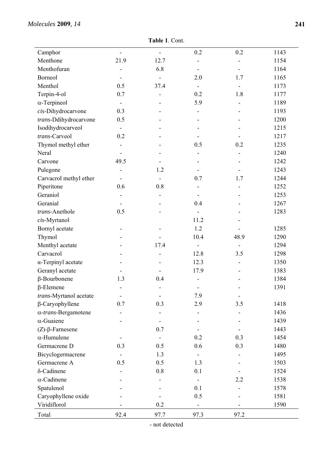**Table 1**. Cont.

| Camphor                     |      |      | 0.2                      | 0.2  | 1143 |
|-----------------------------|------|------|--------------------------|------|------|
| Menthone                    | 21.9 | 12.7 |                          |      | 1154 |
| Menthofuran                 |      | 6.8  |                          |      | 1164 |
| Borneol                     |      |      | 2.0                      | 1.7  | 1165 |
| Menthol                     | 0.5  | 37.4 |                          |      | 1173 |
| Terpin-4-ol                 | 0.7  |      | 0.2                      | 1.8  | 1177 |
| $\alpha$ -Terpineol         |      |      | 5.9                      |      | 1189 |
| cis-Dihydrocarvone          | 0.3  |      |                          |      | 1193 |
| trans-Ddihydrocarvone       | 0.5  |      |                          |      | 1200 |
| Isodihydrocarveol           |      |      |                          |      | 1215 |
| trans-Carveol               | 0.2  |      |                          |      | 1217 |
| Thymol methyl ether         |      |      | 0.5                      | 0.2  | 1235 |
| Neral                       |      |      |                          |      | 1240 |
| Carvone                     | 49.5 |      |                          |      | 1242 |
| Pulegone                    |      | 1.2  |                          |      | 1243 |
| Carvacrol methyl ether      |      |      | 0.7                      | 1.7  | 1244 |
| Piperitone                  | 0.6  | 0.8  |                          |      | 1252 |
| Geraniol                    |      |      |                          |      | 1253 |
| Geranial                    |      |      | 0.4                      |      | 1267 |
| trans-Anethole              | 0.5  |      |                          |      | 1283 |
| cis-Myrtanol                |      |      | 11.2                     |      |      |
| Bornyl acetate              |      |      | 1.2                      |      | 1285 |
| Thymol                      |      |      | 10.4                     | 48.9 | 1290 |
| Menthyl acetate             |      | 17.4 | $\overline{\phantom{a}}$ |      | 1294 |
| Carvacrol                   |      |      | 12.8                     | 3.5  | 1298 |
| $\alpha$ -Terpinyl acetate  |      |      | 12.3                     |      | 1350 |
| Geranyl acetate             |      |      | 17.9                     |      | 1383 |
| $\beta$ -Bourbonene         | 1.3  | 0.4  |                          |      | 1384 |
| $\beta$ -Elemene            |      |      |                          |      | 1391 |
| trans-Myrtanol acetate      |      |      | 7.9                      |      |      |
| $\beta$ -Caryophyllene      | 0.7  | 0.3  | 2.9                      | 3.5  | 1418 |
| $\alpha$ -trans-Bergamotene |      |      |                          |      | 1436 |
| $\alpha$ -Guaiene           |      |      |                          |      | 1439 |
| $(Z)$ -β-Farnesene          |      | 0.7  |                          |      | 1443 |
| $\alpha$ -Humulene          |      |      | 0.2                      | 0.3  | 1454 |
| Germacrene D                | 0.3  | 0.5  | 0.6                      | 0.3  | 1480 |
| Bicyclogermacrene           |      | 1.3  |                          |      | 1495 |
| Germacrene A                | 0.5  | 0.5  | 1.3                      |      | 1503 |
| δ-Cadinene                  |      | 0.8  | 0.1                      |      | 1524 |
| $\alpha$ -Cadinene          |      |      |                          | 2.2  | 1538 |
| Spatulenol                  |      |      | 0.1                      |      | 1578 |
| Caryophyllene oxide         |      |      | 0.5                      |      | 1581 |
| Viridiflorol                |      | 0.2  |                          |      | 1590 |
| Total                       | 92.4 | 97.7 | 97.3                     | 97.2 |      |

- not detected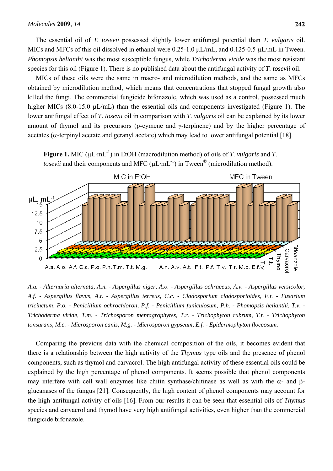The essential oil of *T. tosevii* possessed slightly lower antifungal potential than *T. vulgaris* oil. MICs and MFCs of this oil dissolved in ethanol were 0.25-1.0 μL/mL, and 0.125-0.5 μL/mL in Tween. *Phomopsis helianthi* was the most susceptible fungus, while *Trichoderma viride* was the most resistant species for this oil (Figure 1). There is no published data about the antifungal activity of *T. tosevii* oil.

MICs of these oils were the same in macro- and microdilution methods, and the same as MFCs obtained by microdilution method, which means that concentrations that stopped fungal growth also killed the fungi. The commercial fungicide bifonazole, which was used as a control, possessed much higher MICs (8.0-15.0 μL/mL) than the essential oils and components investigated (Figure 1). The lower antifungal effect of *T. tosevii* oil in comparison with *T. vulgaris* oil can be explained by its lower amount of thymol and its precursors (p-cymene and  $\gamma$ -terpinene) and by the higher percentage of acetates ( $\alpha$ -terpinyl acetate and geranyl acetate) which may lead to lower antifungal potential [18].

**Figure 1.** MIC (μL·mL-1) in EtOH (macrodilution method) of oils of *T. vulgaris* and *T. tosevii* and their components and MFC  $(\mu L \cdot mL^{-1})$  in Tween<sup>®</sup> (microdilution method).



*A.a. - Alternaria alternata, A.n. - Aspergillus niger, A.o. - Aspergillus ochraceus, A.v. - Aspergillus versicolor, A.f. - Aspergillus flavus, A.t. - Aspergillus terreus, C.c. - Cladosporium cladosporioides, F.t. - Fusarium tricinctum, P.o. - Penicillium ochrochloron, P.f. - Penicillium funiculosum, P.h. - Phomopsis helianthi, T.v. - Trichoderma viride, T.m. - Trichosporon mentagrophytes, T.r. - Trichophyton rubrum, T.t. - Trichophyton tonsurans, M.c. - Microsporon canis, M.g. - Microsporon gypseum, E.f. - Epidermophyton floccosum.* 

Comparing the previous data with the chemical composition of the oils, it becomes evident that there is a relationship between the high activity of the *Thymus* type oils and the presence of phenol components, such as thymol and carvacrol. The high antifungal activity of these essential oils could be explained by the high percentage of phenol components. It seems possible that phenol components may interfere with cell wall enzymes like chitin synthase/chitinase as well as with the α- and βglucanases of the fungus [21]. Consequently, the high content of phenol components may account for the high antifungal activity of oils [16]. From our results it can be seen that essential oils of *Thymus*  species and carvacrol and thymol have very high antifungal activities, even higher than the commercial fungicide bifonazole.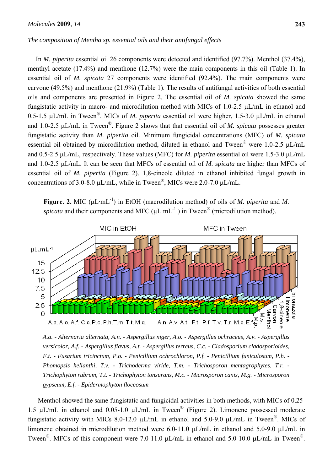*The composition of Mentha sp. essential oils and their antifungal effects*

In *M. piperita* essential oil 26 components were detected and identified (97.7%). Menthol (37.4%), menthyl acetate (17.4%) and menthone (12.7%) were the main components in this oil (Table 1). In essential oil of *M. spicata* 27 components were identified (92.4%). The main components were carvone (49.5%) and menthone (21.9%) (Table 1). The results of antifungal activities of both essential oils and components are presented in Figure 2. The essential oil of *M. spicata* showed the same fungistatic activity in macro- and microdilution method with MICs of 1.0-2.5 μL/mL in ethanol and 0.5-1.5 μL/mL in Tween®. MICs of *M. piperita* essential oil were higher, 1.5-3.0 μL/mL in ethanol and 1.0-2.5 μL/mL in Tween®. Figure 2 shows that that essential oil of *M. spicata* possesses greater fungistatic activity than *M. piperita* oil. Minimum fungicidal concentrations (MFC) of *M. spicata*  essential oil obtained by microdilution method, diluted in ethanol and Tween® were 1.0-2.5 μL/mL and 0.5-2.5 μL/mL, respectively. These values (MFC) for *M. piperita* essential oil were 1.5-3.0 μL/mL and 1.0-2.5 μL/mL. It can be seen that MFCs of essential oil of *M. spicata* are higher than MFCs of essential oil of *M. piperita* (Figure 2). 1,8-cineole diluted in ethanol inhibited fungal growth in concentrations of 3.0-8.0 μL/mL, while in Tween®, MICs were 2.0-7.0 μL/mL.

**Figure. 2.** MIC (μL·mL-1) in EtOH (macrodilution method) of oils of *M. piperita* and *M. spicata* and their components and MFC  $(\mu L \cdot mL^{-1})$  in Tween<sup>®</sup> (microdilution method).



*A.a. - Alternaria alternata, A.n. - Aspergillus niger, A.o. - Aspergillus ochraceus, A.v. - Aspergillus versicolor, A.f. - Aspergillus flavus, A.t. - Aspergillus terreus, C.c. - Cladosporium cladosporioides, F.t. - Fusarium tricinctum, P.o. - Penicillium ochrochloron, P.f. - Penicillium funiculosum, P.h. - Phomopsis helianthi, T.v. - Trichoderma viride, T.m. - Trichosporon mentagrophytes, T.r. - Trichophyton rubrum, T.t. - Trichophyton tonsurans, M.c. - Microsporon canis, M.g. - Microsporon gypseum, E.f. - Epidermophyton floccosum*

Menthol showed the same fungistatic and fungicidal activities in both methods, with MICs of 0.25- 1.5  $\mu$ L/mL in ethanol and 0.05-1.0  $\mu$ L/mL in Tween<sup>®</sup> (Figure 2). Limonene possessed moderate fungistatic activity with MICs 8.0-12.0  $\mu L/mL$  in ethanol and 5.0-9.0  $\mu L/mL$  in Tween<sup>®</sup>. MICs of limonene obtained in microdilution method were 6.0-11.0 μL/mL in ethanol and 5.0-9.0 μL/mL in Tween®. MFCs of this component were 7.0-11.0 μL/mL in ethanol and 5.0-10.0 μL/mL in Tween®.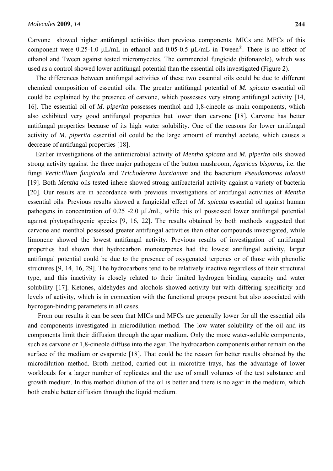Carvone showed higher antifungal activities than previous components. MICs and MFCs of this component were 0.25-1.0  $\mu$ L/mL in ethanol and 0.05-0.5  $\mu$ L/mL in Tween<sup>®</sup>. There is no effect of ethanol and Tween against tested micromycetes. The commercial fungicide (bifonazole), which was used as a control showed lower antifungal potential than the essential oils investigated (Figure 2).

The differences between antifungal activities of these two essential oils could be due to different chemical composition of essential oils. The greater antifungal potential of *M. spicata* essential oil could be explained by the presence of carvone, which possesses very strong antifungal activity [14, 16]. The essential oil of *M. piperita* possesses menthol and 1,8-cineole as main components, which also exhibited very good antifungal properties but lower than carvone [18]. Carvone has better antifungal properties because of its high water solubility. One of the reasons for lower antifungal activity of *M. piperita* essential oil could be the large amount of menthyl acetate, which causes a decrease of antifungal properties [18].

Earlier investigations of the antimicrobial activity of *Mentha spicata* and *M. piperita* oils showed strong activity against the three major pathogens of the button mushroom, *Agaricus bisporus,* i.e. the fungi *Verticillium fungicola* and *Trichoderma harzianum* and the bacterium *Pseudomonas tolaasii*  [19]. Both *Mentha* oils tested inhere showed strong antibacterial activity against a variety of bacteria [20]. Our results are in accordance with previous investigations of antifungal activities of *Mentha* essential oils. Previous results showed a fungicidal effect of *M. spicata* essential oil against human pathogens in concentration of 0.25 -2.0 μL/mL, while this oil possessed lower antifungal potential against phytopathogenic species [9, 16, 22]. The results obtained by both methods suggested that carvone and menthol possessed greater antifungal activities than other compounds investigated, while limonene showed the lowest antifungal activity. Previous results of investigation of antifungal properties had shown that hydrocarbon monoterpenes had the lowest antifungal activity, larger antifungal potential could be due to the presence of oxygenated terpenes or of those with phenolic structures [9, 14, 16, 29]. The hydrocarbons tend to be relatively inactive regardless of their structural type, and this inactivity is closely related to their limited hydrogen binding capacity and water solubility [17]. Ketones, aldehydes and alcohols showed activity but with differing specificity and levels of activity, which is in connection with the functional groups present but also associated with hydrogen-binding parameters in all cases.

From our results it can be seen that MICs and MFCs are generally lower for all the essential oils and components investigated in microdilution method. The low water solubility of the oil and its components limit their diffusion through the agar medium. Only the more water-soluble components, such as carvone or 1,8-cineole diffuse into the agar. The hydrocarbon components either remain on the surface of the medium or evaporate [18]. That could be the reason for better results obtained by the microdilution method. Broth method, carried out in microtitre trays, has the advantage of lower workloads for a larger number of replicates and the use of small volumes of the test substance and growth medium. In this method dilution of the oil is better and there is no agar in the medium, which both enable better diffusion through the liquid medium.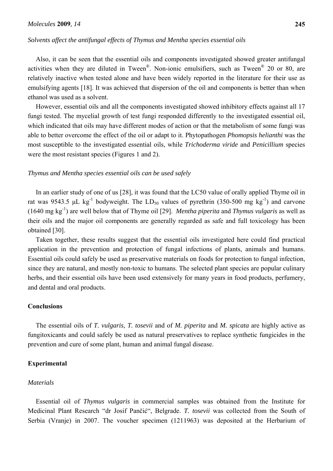#### *Molecules* **2009***, 14* **245**

# *Solvents affect the antifungal effects of Thymus and Mentha species essential oils*

Also, it can be seen that the essential oils and components investigated showed greater antifungal activities when they are diluted in Tween®. Non-ionic emulsifiers, such as Tween® 20 or 80, are relatively inactive when tested alone and have been widely reported in the literature for their use as emulsifying agents [18]. It was achieved that dispersion of the oil and components is better than when ethanol was used as a solvent.

However, essential oils and all the components investigated showed inhibitory effects against all 17 fungi tested. The mycelial growth of test fungi responded differently to the investigated essential oil, which indicated that oils may have different modes of action or that the metabolism of some fungi was able to better overcome the effect of the oil or adapt to it. Phytopathogen *Phomopsis helianthi* was the most susceptible to the investigated essential oils, while *Trichoderma viride* and *Penicillium* species were the most resistant species (Figures 1 and 2).

#### *Thymus and Mentha species essential oils can be used safely*

In an earlier study of one of us [28], it was found that the LC50 value of orally applied Thyme oil in rat was 9543.5 μL kg<sup>-1</sup> bodyweight. The  $LD_{50}$  values of pyrethrin (350-500 mg kg<sup>-1</sup>) and carvone (1640 mg  $kg^{-1}$ ) are well below that of Thyme oil [29]. *Mentha piperita* and *Thymus vulgaris* as well as their oils and the major oil components are generally regarded as safe and full toxicology has been obtained [30].

Taken together, these results suggest that the essential oils investigated here could find practical application in the prevention and protection of fungal infections of plants, animals and humans. Essential oils could safely be used as preservative materials on foods for protection to fungal infection, since they are natural, and mostly non-toxic to humans. The selected plant species are popular culinary herbs, and their essential oils have been used extensively for many years in food products, perfumery, and dental and oral products.

#### **Conclusions**

The essential oils of *T. vulgaris*, *T. tosevii* and of *M. piperita* and *M. spicata* are highly active as fungitoxicants and could safely be used as natural preservatives to replace synthetic fungicides in the prevention and cure of some plant, human and animal fungal disease.

#### **Experimental**

#### *Materials*

Essential oil of *Thymus vulgaris* in commercial samples was obtained from the Institute for Medicinal Plant Research "dr Josif Pančić", Belgrade. *T. tosevii* was collected from the South of Serbia (Vranje) in 2007. The voucher specimen (1211963) was deposited at the Herbarium of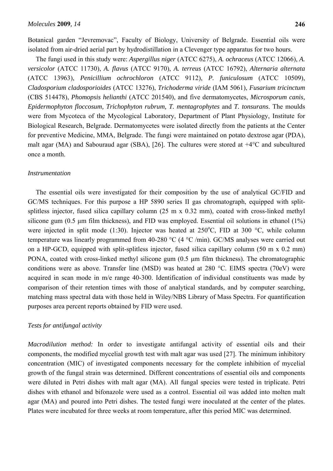Botanical garden "Jevremovac", Faculty of Biology, University of Belgrade. Essential oils were isolated from air-dried aerial part by hydrodistillation in a Clevenger type apparatus for two hours.

The fungi used in this study were: *Aspergillus niger* (ATCC 6275), *A. ochraceus* (ATCC 12066), *A. versicolor* (ATCC 11730), *A. flavus* (ATCC 9170), *A. terreus* (ATCC 16792), *Alternaria alternata* (ATCC 13963), *Penicillium ochrochloron* (ATCC 9112), *P. funiculosum* (ATCC 10509), *Cladosporium cladosporioides* (ATCC 13276), *Trichoderma viride* (IAM 5061), *Fusarium tricinctum* (CBS 514478), *Phomopsis helianthi* (ATCC 201540), and five dermatomycetes, *Microsporum canis, Epidermophyton floccosum, Trichophyton rubrum, T. mentagrophytes* and *T. tonsurans*. The moulds were from Mycoteca of the Mycological Laboratory, Department of Plant Physiology, Institute for Biological Research, Belgrade. Dermatomycetes were isolated directly from the patients at the Center for preventive Medicine, MMA, Belgrade. The fungi were maintained on potato dextrose agar (PDA), malt agar (MA) and Sabouraud agar (SBA), [26]. The cultures were stored at +4°C and subcultured once a month.

#### *Instrumentation*

The essential oils were investigated for their composition by the use of analytical GC/FID and GC/MS techniques. For this purpose a HP 5890 series II gas chromatograph, equipped with splitsplitless injector, fused silica capillary column (25 m x 0.32 mm), coated with cross-linked methyl silicone gum (0.5 μm film thickness), and FID was employed. Essential oil solutions in ethanol (1%) were injected in split mode (1:30). Injector was heated at  $250^{\circ}$ C, FID at 300  $^{\circ}$ C, while column temperature was linearly programmed from 40-280 °C (4 °C /min). GC/MS analyses were carried out on a HP-GCD, equipped with split-splitless injector, fused silica capillary column (50 m x 0.2 mm) PONA, coated with cross-linked methyl silicone gum (0.5 μm film thickness). The chromatographic conditions were as above. Transfer line (MSD) was heated at 280 °C. EIMS spectra (70eV) were acquired in scan mode in m/e range 40-300. Identification of individual constituents was made by comparison of their retention times with those of analytical standards, and by computer searching, matching mass spectral data with those held in Wiley/NBS Library of Mass Spectra. For quantification purposes area percent reports obtained by FID were used.

#### *Tests for antifungal activity*

*Macrodilution method:* In order to investigate antifungal activity of essential oils and their components, the modified mycelial growth test with malt agar was used [27]. The minimum inhibitory concentration (MIC) of investigated components necessary for the complete inhibition of mycelial growth of the fungal strain was determined. Different concentrations of essential oils and components were diluted in Petri dishes with malt agar (MA). All fungal species were tested in triplicate. Petri dishes with ethanol and bifonazole were used as a control. Essential oil was added into molten malt agar (MA) and poured into Petri dishes. The tested fungi were inoculated at the center of the plates. Plates were incubated for three weeks at room temperature, after this period MIC was determined.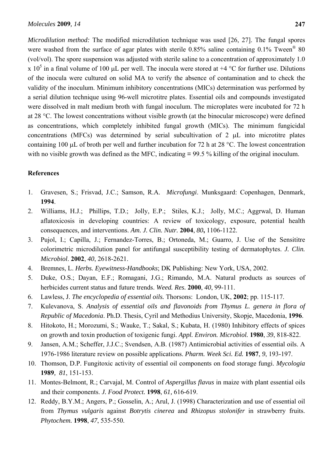*Microdilution method:* The modified microdilution technique was used [26, 27]. The fungal spores were washed from the surface of agar plates with sterile 0.85% saline containing 0.1% Tween*®* 80 (vol/vol). The spore suspension was adjusted with sterile saline to a concentration of approximately 1.0 x 10<sup>5</sup> in a final volume of 100 µL per well. The inocula were stored at  $+4$  °C for further use. Dilutions of the inocula were cultured on solid MA to verify the absence of contamination and to check the validity of the inoculum. Minimum inhibitory concentrations (MICs) determination was performed by a serial dilution technique using 96-well microtitre plates. Essential oils and compounds investigated were dissolved in malt medium broth with fungal inoculum. The microplates were incubated for 72 h at 28 °C. The lowest concentrations without visible growth (at the binocular microscope) were defined as concentrations, which completely inhibited fungal growth (MICs). The minimum fungicidal concentrations (MFCs) was determined by serial subcultivation of 2 μL into microtitre plates containing 100 μL of broth per well and further incubation for 72 h at 28 °C. The lowest concentration with no visible growth was defined as the MFC, indicating = 99.5 % killing of the original inoculum.

# **References**

- 1. Gravesen, S.; Frisvad, J.C.; Samson, R.A. *Microfungi*. Munksgaard: Copenhagen, Denmark, **1994**.
- 2. Williams, H.J.; Phillips, T.D.; Jolly, E.P.; Stiles, K.J.; Jolly, M.C.; Aggrwal, D. Human aflatoxicosis in developing countries: A review of toxicology, exposure, potential health consequences, and interventions. *Am. J. Clin. Nutr.* **2004**, *80***,** 1106-1122.
- 3. Pujol, I.; Capilla, J.; Fernandez-Torres, B.; Ortoneda, M.; Guarro, J. Use of the Sensititre colorimetric microdilution panel for antifungal susceptibility testing of dermatophytes. *J. Clin. Microbiol*. **2002**, *40*, 2618-2621.
- 4. Bremnes, L. *Herbs. Eyewitness-Handbooks*; DK Publishing: New York, USA, 2002.
- 5. Duke, O.S.; Dayan, E.F.; Romagani, J.G.; Rimando, M.A. Natural products as sources of herbicides current status and future trends. *Weed. Res.* **2000**, *40*, 99-111.
- 6. Lawless, J. *The encyclopedia of essential oils.* Thorsons: London, UK, **2002**; pp. 115-117.
- 7. Kulevanova, S. *Analysis of essential oils and flavonoids from Thymus L. genera in flora of Republic of Macedonia*. Ph.D. Thesis, Cyril and Methodius University, Skopje, Macedonia, **1996**.
- 8. Hitokoto, H.; Morozumi, S.; Wauke, T.; Sakal, S.; Kubata, H. (1980) Inhibitory effects of spices on growth and toxin production of toxigenic fungi. *Appl. Environ. Microbiol.* **1980**, *39*, 818-822.
- 9. Jansen, A.M.; Scheffer, J.J.C.; Svendsen, A.B. (1987) Antimicrobial activities of essential oils. A 1976-1986 literature review on possible applications. *Pharm. Week Sci. Ed.* **1987**, *9*, 193-197.
- 10. Thomson, D.P. Fungitoxic activity of essential oil components on food storage fungi. *Mycologia*  **1989***, 81*, 151-153.
- 11. Montes-Belmont, R.; Carvajal, M. Control of *Aspergillus flavus* in maize with plant essential oils and their components. *J. Food Protect.* **1998**, *61,* 616-619.
- 12. Reddy, B.Y.M.; Angers, P.; Gosselin, A.; Arul, J. (1998) Characterization and use of essential oil from *Thymus vulgaris* against *Botrytis cinerea* and *Rhizopus stolonifer* in strawberry fruits. *Phytochem.* **1998**, *47*, 535-550.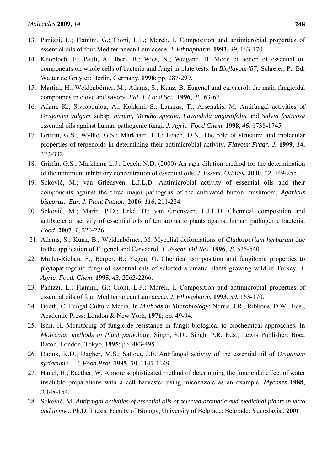- 13. Panizzi, L.; Flamini, G.; Cioni, L.P.; Moreli, I. Composition and antimicrobial properties of essential oils of four Mediterranean Lamiaceae. *J. Ethnopharm.* **1993,** *39*, 163-170.
- 14. Knobloch, E.; Pauli, A.; Iberl, B.; Wies, N.; Weigand, H. Mode of action of essential oil components on whole cells of bacteria and fungi in plate tests. In *Bioflavour'87;* Schreier, P., Ed; Walter de Gruyter: Berlin, Germany, **1998**; pp. 287-299.
- 15. Martini, H.; Weidenbörner, M.; Adams, S.; Kunz, B. Eugenol and carvacrol: the main fungicidal compounds in clove and savory. *Ital. J. Food Sci.* **1996**, *8*, 63-67.
- 16. Adam, K.; Sivropoulou, A.; Kokkini, S.; Lanaras, T.; Arsenakis, M. Antifungal activities of *Origanum vulgare* subsp. *hirtum, Mentha spicata, Lavandula angustifolia* and *Salvia fruticosa*  essential oils against human pathogenic fungi*. J. Agric. Food Chem.* **1998***, 46***,** 1738-1745.
- 17. Griffin, G.S.; Wyllie, G.S.; Markham, L.J.; Leach, D.N. The role of structure and molecular properties of terpenoids in determining their antimicrobial activity. *Flavour Fragr. J.* **1999**, *14*, 322-332.
- 18. Griffin, G.S.; Markham, L.J.; Leach, N.D. (2000) An agar dilution method for the determination of the minimum inhibitory concentration of essential oils. *J. Essent. Oil Res.* **2000***, 12*, 149-255.
- 19. Soković, M.; van Griensven, L.J.L.D. Antimicrobial activity of essential oils and their components against the three major pathogens of the cultivated button mushroom, *Agaricus bisporus. Eur. J. Plant Pathol*. **2006**, *116*, 211-224.
- 20. Soković, M.; Marin, P.D.; Brkć, D.; van Griensven, L.J.L.D. Chemical composition and antibacterial activity of essential oils of ten aromatic plants against human pathogenic bacteria. *Food* **2007**, *1*, 220-226.
- 21. Adams, S.; Kunz, B.; Weidenbörner, M. Mycelial deformations of *Cladosporium herbarum* due to the application of Eugenol and Carvacrol. *J. Essent. Oil Res.* **1996***, 8*, 535-540.
- 22. Müller-Riebau, F.; Berger, B.; Yegen, O. Chemical composition and fungitoxic properties to phytopathogenic fungi of essential oils of selected aromatic plants growing wild in Turkey*. J. Agric. Food. Chem*. **1995**, *43*, 2262-2266.
- 23. Panizzi, L.; Flamini, G.; Cioni, L.P.; Moreli, I. Composition and antimicrobial properties of essential oils of four Mediterranean Lamiaceae. *J. Ethnopharm.* **1993**, *39*, 163-170.
- 24. Booth, C. Fungal Culture Media. In *Methods in Microbiology*; Norris, J.R., Ribbons, D.W., Eds.; Academic Press: London & New York, **1971**; pp. 49-94.
- 25. Ishii, H. Monitoring of fungicide resistance in fungi: biological to biochemical approaches. In *Molecular methods in Plant pathology*; Singh, S.U., Singh, P.R. Eds.; Lewis Publisher: Boca Raton, London, Tokyo, **1995**; pp. 483-495.
- 26. Daouk, K.D.; Dagher, M.S.; Sattout, J.E. Antifungal activity of the essential oil of *Origanum syriacum* L. *J. Food Prot.* **1995**, *58*, 1147-1149.
- 27. Hanel, H.; Raether, W. A more sophisticated method of determining the fungicidal effect of water insoluble preparations with a cell harvester using miconazole as an example. *Mycoses* **1988**, *3,*148-154.
- 28. Soković, M. *Antifungal activities of essential oils of selected aromatic and medicinal plants in vitro and in vivo*. Ph.D. Thesis, Faculty of Biology, University of Belgrade: Belgrade: Yugoslavia , **2001**.